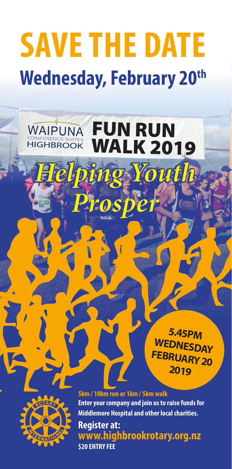## **SAVE THE DATE Wednesday, February 20th**

WAIPUNA

**HIGHBROOK** 

FUN RUN

*Helping Youth Helping Youth* 

*Prosper Prosper*

WALK 2019





**5km / 10km run or 1km / 5km walk Enter your company and join us to raise funds for Middlemore Hospital and other local charities. Register at: www.highbrookrotary.org.nz \$20 ENTRY FEE**